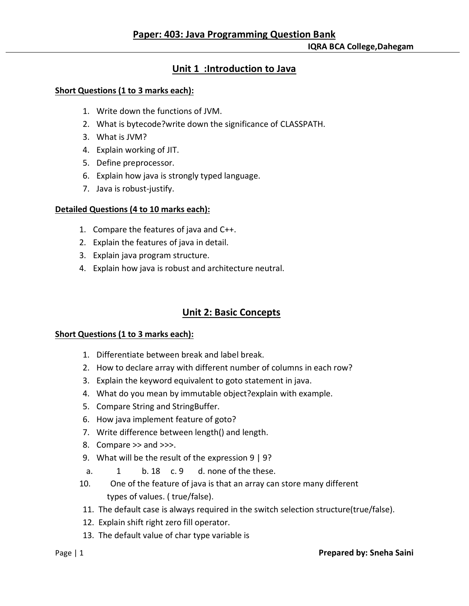**IQRA BCA College,Dahegam**

# **Unit 1 :Introduction to Java**

### **Short Questions (1 to 3 marks each):**

- 1. Write down the functions of JVM.
- 2. What is bytecode?write down the significance of CLASSPATH.
- 3. What is JVM?
- 4. Explain working of JIT.
- 5. Define preprocessor.
- 6. Explain how java is strongly typed language.
- 7. Java is robust-justify.

#### **Detailed Questions (4 to 10 marks each):**

- 1. Compare the features of java and C++.
- 2. Explain the features of java in detail.
- 3. Explain java program structure.
- 4. Explain how java is robust and architecture neutral.

# **Unit 2: Basic Concepts**

#### **Short Questions (1 to 3 marks each):**

- 1. Differentiate between break and label break.
- 2. How to declare array with different number of columns in each row?
- 3. Explain the keyword equivalent to goto statement in java.
- 4. What do you mean by immutable object?explain with example.
- 5. Compare String and StringBuffer.
- 6. How java implement feature of goto?
- 7. Write difference between length() and length.
- 8. Compare >> and >>>.
- 9. What will be the result of the expression 9 | 9?
- a. 1 b. 18 c. 9 d. none of the these.
- 10. One of the feature of java is that an array can store many different types of values. ( true/false).
- 11. The default case is always required in the switch selection structure(true/false).
- 12. Explain shift right zero fill operator.
- 13. The default value of char type variable is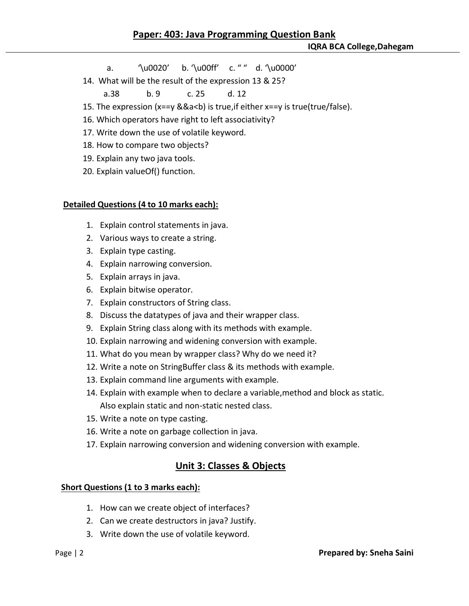- a. '\u0020' b. '\u00ff' c. " " d. '\u0000'
- 14. What will be the result of the expression 13 & 25?

a.38 b. 9 c. 25 d. 12

- 15. The expression (x==y &&a<b) is true,if either x==y is true(true/false).
- 16. Which operators have right to left associativity?
- 17. Write down the use of volatile keyword.
- 18. How to compare two objects?
- 19. Explain any two java tools.
- 20. Explain valueOf() function.

### **Detailed Questions (4 to 10 marks each):**

- 1. Explain control statements in java.
- 2. Various ways to create a string.
- 3. Explain type casting.
- 4. Explain narrowing conversion.
- 5. Explain arrays in java.
- 6. Explain bitwise operator.
- 7. Explain constructors of String class.
- 8. Discuss the datatypes of java and their wrapper class.
- 9. Explain String class along with its methods with example.
- 10. Explain narrowing and widening conversion with example.
- 11. What do you mean by wrapper class? Why do we need it?
- 12. Write a note on StringBuffer class & its methods with example.
- 13. Explain command line arguments with example.
- 14. Explain with example when to declare a variable,method and block as static. Also explain static and non-static nested class.
- 15. Write a note on type casting.
- 16. Write a note on garbage collection in java.
- 17. Explain narrowing conversion and widening conversion with example.

## **Unit 3: Classes & Objects**

#### **Short Questions (1 to 3 marks each):**

- 1. How can we create object of interfaces?
- 2. Can we create destructors in java? Justify.
- 3. Write down the use of volatile keyword.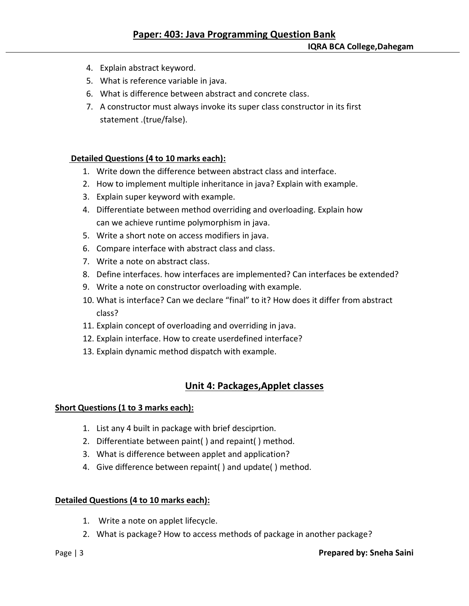- 4. Explain abstract keyword.
- 5. What is reference variable in java.
- 6. What is difference between abstract and concrete class.
- 7. A constructor must always invoke its super class constructor in its first statement .(true/false).

#### **Detailed Questions (4 to 10 marks each):**

- 1. Write down the difference between abstract class and interface.
- 2. How to implement multiple inheritance in java? Explain with example.
- 3. Explain super keyword with example.
- 4. Differentiate between method overriding and overloading. Explain how can we achieve runtime polymorphism in java.
- 5. Write a short note on access modifiers in java.
- 6. Compare interface with abstract class and class.
- 7. Write a note on abstract class.
- 8. Define interfaces. how interfaces are implemented? Can interfaces be extended?
- 9. Write a note on constructor overloading with example.
- 10. What is interface? Can we declare "final" to it? How does it differ from abstract class?
- 11. Explain concept of overloading and overriding in java.
- 12. Explain interface. How to create userdefined interface?
- 13. Explain dynamic method dispatch with example.

## **Unit 4: Packages,Applet classes**

#### **Short Questions (1 to 3 marks each):**

- 1. List any 4 built in package with brief desciprtion.
- 2. Differentiate between paint( ) and repaint( ) method.
- 3. What is difference between applet and application?
- 4. Give difference between repaint( ) and update( ) method.

#### **Detailed Questions (4 to 10 marks each):**

- 1. Write a note on applet lifecycle.
- 2. What is package? How to access methods of package in another package?